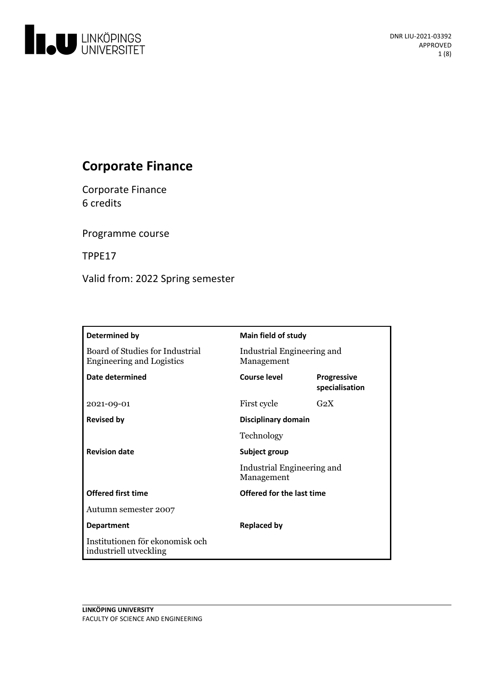

# **Corporate Finance**

Corporate Finance 6 credits

Programme course

TPPE17

Valid from: 2022 Spring semester

| Determined by                                                       | Main field of study                      |                                      |
|---------------------------------------------------------------------|------------------------------------------|--------------------------------------|
| Board of Studies for Industrial<br><b>Engineering and Logistics</b> | Industrial Engineering and<br>Management |                                      |
| Date determined                                                     | Course level                             | <b>Progressive</b><br>specialisation |
| 2021-09-01                                                          | First cycle                              | G <sub>2</sub> X                     |
| <b>Revised by</b>                                                   | Disciplinary domain                      |                                      |
|                                                                     | Technology                               |                                      |
| <b>Revision date</b>                                                | Subject group                            |                                      |
|                                                                     | Industrial Engineering and<br>Management |                                      |
| <b>Offered first time</b>                                           | Offered for the last time                |                                      |
| Autumn semester 2007                                                |                                          |                                      |
| <b>Department</b>                                                   | <b>Replaced by</b>                       |                                      |
| Institutionen för ekonomisk och<br>industriell utveckling           |                                          |                                      |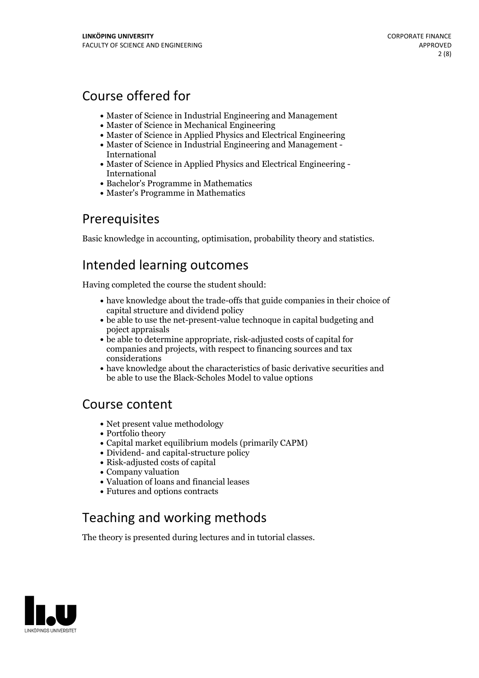## Course offered for

- Master of Science in Industrial Engineering and Management
- Master of Science in Mechanical Engineering
- Master of Science in Applied Physics and Electrical Engineering
- Master of Science in Industrial Engineering and Management International
- Master of Science in Applied Physics and Electrical Engineering International
- Bachelor's Programme in Mathematics
- Master's Programme in Mathematics

## Prerequisites

Basic knowledge in accounting, optimisation, probability theory and statistics.

## Intended learning outcomes

Having completed the course the student should:

- have knowledge about the trade-offs that guide companies in their choice of capital structure and dividend policy
- be able to use the net-present-value technoque in capital budgeting and poject appraisals
- be able to determine appropriate, risk-adjusted costs of capital for companies and projects, with respect to financing sources and tax considerations
- have knowledge about the characteristics of basic derivative securities and be able to use the Black-Scholes Model to value options

## Course content

- Net present value methodology
- Portfolio theory
- Capital market equilibrium models (primarily CAPM)
- Dividend- and capital-structure policy
- Risk-adjusted costs of capital
- Company valuation
- Valuation of loans and financial leases
- Futures and options contracts

# Teaching and working methods

The theory is presented during lectures and in tutorial classes.

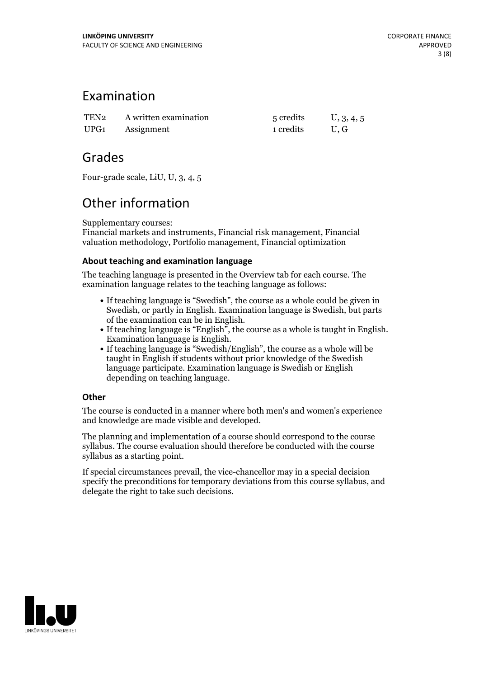## Examination

| TEN2 A written examination | 5 credits | U, 3, 4, 5 |
|----------------------------|-----------|------------|
| UPG1 Assignment            | 1 credits | U.G        |

## Grades

Four-grade scale, LiU, U, 3, 4, 5

# Other information

Supplementary courses:

Financial markets and instruments, Financial risk management, Financial valuation methodology, Portfolio management, Financial optimization

## **About teaching and examination language**

The teaching language is presented in the Overview tab for each course. The examination language relates to the teaching language as follows:

- If teaching language is "Swedish", the course as a whole could be given in Swedish, or partly in English. Examination language is Swedish, but parts
- of the examination can be in English.<br>
If teaching language is "English", the course as a whole is taught in English.<br>
Examination language is "Swedish/English", the course as a whole will be<br>
If teaching language is "Swed
- taught in English if students without prior knowledge of the Swedish language participate. Examination language is Swedish or English depending on teaching language.

### **Other**

The course is conducted in a manner where both men's and women's experience and knowledge are made visible and developed.

The planning and implementation of a course should correspond to the course syllabus. The course evaluation should therefore be conducted with the course syllabus as a starting point.

If special circumstances prevail, the vice-chancellor may in a special decision specify the preconditions for temporary deviations from this course syllabus, and delegate the right to take such decisions.

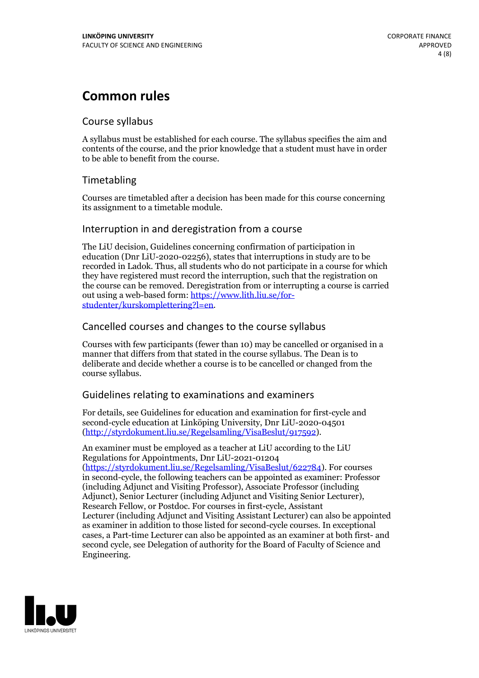## **Common rules**

### Course syllabus

A syllabus must be established for each course. The syllabus specifies the aim and contents of the course, and the prior knowledge that a student must have in order to be able to benefit from the course.

## Timetabling

Courses are timetabled after a decision has been made for this course concerning its assignment to a timetable module.

### Interruption in and deregistration from a course

The LiU decision, Guidelines concerning confirmation of participation in education (Dnr LiU-2020-02256), states that interruptions in study are to be recorded in Ladok. Thus, all students who do not participate in a course for which they have registered must record the interruption, such that the registration on the course can be removed. Deregistration from or interrupting a course is carried out using <sup>a</sup> web-based form: https://www.lith.liu.se/for- [studenter/kurskomplettering?l=en.](https://www.lith.liu.se/for-studenter/kurskomplettering?l=en)

## Cancelled courses and changes to the course syllabus

Courses with few participants (fewer than 10) may be cancelled or organised in a manner that differs from that stated in the course syllabus. The Dean is to deliberate and decide whether a course is to be cancelled or changed from the course syllabus.

## Guidelines relating to examinations and examiners

For details, see Guidelines for education and examination for first-cycle and second-cycle education at Linköping University, Dnr LiU-2020-04501 [\(http://styrdokument.liu.se/Regelsamling/VisaBeslut/917592\)](http://styrdokument.liu.se/Regelsamling/VisaBeslut/917592).

An examiner must be employed as a teacher at LiU according to the LiU Regulations for Appointments, Dnr LiU-2021-01204 [\(https://styrdokument.liu.se/Regelsamling/VisaBeslut/622784](https://styrdokument.liu.se/Regelsamling/VisaBeslut/622784)). For courses in second-cycle, the following teachers can be appointed as examiner: Professor (including Adjunct and Visiting Professor), Associate Professor (including Adjunct), Senior Lecturer (including Adjunct and Visiting Senior Lecturer), Research Fellow, or Postdoc. For courses in first-cycle, Assistant Lecturer (including Adjunct and Visiting Assistant Lecturer) can also be appointed as examiner in addition to those listed for second-cycle courses. In exceptional cases, a Part-time Lecturer can also be appointed as an examiner at both first- and second cycle, see Delegation of authority for the Board of Faculty of Science and Engineering.

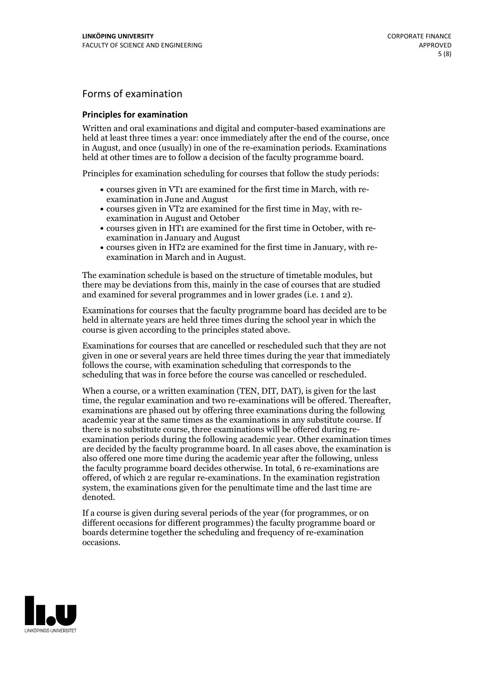## Forms of examination

#### **Principles for examination**

Written and oral examinations and digital and computer-based examinations are held at least three times a year: once immediately after the end of the course, once in August, and once (usually) in one of the re-examination periods. Examinations held at other times are to follow a decision of the faculty programme board.

Principles for examination scheduling for courses that follow the study periods:

- courses given in VT1 are examined for the first time in March, with re-examination in June and August
- courses given in VT2 are examined for the first time in May, with re-examination in August and October
- courses given in HT1 are examined for the first time in October, with re-examination in January and August
- courses given in HT2 are examined for the first time in January, with re-examination in March and in August.

The examination schedule is based on the structure of timetable modules, but there may be deviations from this, mainly in the case of courses that are studied and examined for several programmes and in lower grades (i.e. 1 and 2).

Examinations for courses that the faculty programme board has decided are to be held in alternate years are held three times during the school year in which the course is given according to the principles stated above.

Examinations for courses that are cancelled orrescheduled such that they are not given in one or several years are held three times during the year that immediately follows the course, with examination scheduling that corresponds to the scheduling that was in force before the course was cancelled or rescheduled.

When a course, or a written examination (TEN, DIT, DAT), is given for the last time, the regular examination and two re-examinations will be offered. Thereafter, examinations are phased out by offering three examinations during the following academic year at the same times as the examinations in any substitute course. If there is no substitute course, three examinations will be offered during re- examination periods during the following academic year. Other examination times are decided by the faculty programme board. In all cases above, the examination is also offered one more time during the academic year after the following, unless the faculty programme board decides otherwise. In total, 6 re-examinations are offered, of which 2 are regular re-examinations. In the examination registration system, the examinations given for the penultimate time and the last time are denoted.

If a course is given during several periods of the year (for programmes, or on different occasions for different programmes) the faculty programme board or boards determine together the scheduling and frequency of re-examination occasions.

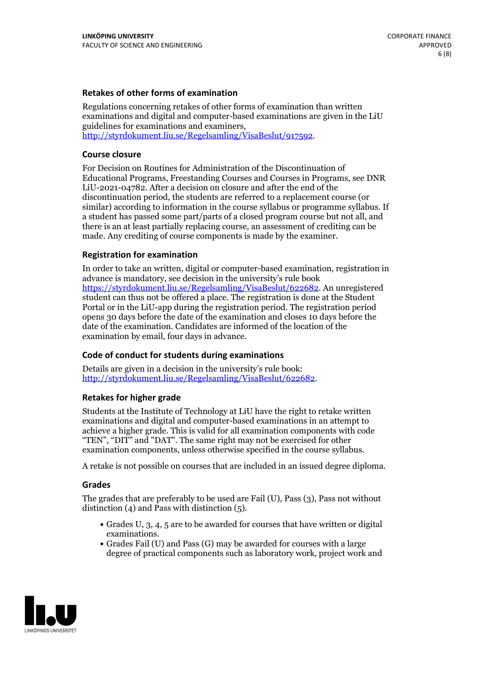### **Retakes of other forms of examination**

Regulations concerning retakes of other forms of examination than written examinations and digital and computer-based examinations are given in the LiU guidelines for examinations and examiners, [http://styrdokument.liu.se/Regelsamling/VisaBeslut/917592.](http://styrdokument.liu.se/Regelsamling/VisaBeslut/917592)

#### **Course closure**

For Decision on Routines for Administration of the Discontinuation of Educational Programs, Freestanding Courses and Courses in Programs, see DNR LiU-2021-04782. After a decision on closure and after the end of the discontinuation period, the students are referred to a replacement course (or similar) according to information in the course syllabus or programme syllabus. If a student has passed some part/parts of a closed program course but not all, and there is an at least partially replacing course, an assessment of crediting can be made. Any crediting of course components is made by the examiner.

#### **Registration for examination**

In order to take an written, digital or computer-based examination, registration in advance is mandatory, see decision in the university's rule book [https://styrdokument.liu.se/Regelsamling/VisaBeslut/622682.](https://styrdokument.liu.se/Regelsamling/VisaBeslut/622682) An unregistered student can thus not be offered a place. The registration is done at the Student Portal or in the LiU-app during the registration period. The registration period opens 30 days before the date of the examination and closes 10 days before the date of the examination. Candidates are informed of the location of the examination by email, four days in advance.

#### **Code of conduct for students during examinations**

Details are given in a decision in the university's rule book: <http://styrdokument.liu.se/Regelsamling/VisaBeslut/622682>.

#### **Retakes for higher grade**

Students at the Institute of Technology at LiU have the right to retake written examinations and digital and computer-based examinations in an attempt to achieve a higher grade. This is valid for all examination components with code "TEN", "DIT" and "DAT". The same right may not be exercised for other examination components, unless otherwise specified in the course syllabus.

A retake is not possible on courses that are included in an issued degree diploma.

#### **Grades**

The grades that are preferably to be used are Fail (U), Pass (3), Pass not without distinction  $(4)$  and Pass with distinction  $(5)$ .

- Grades U, 3, 4, 5 are to be awarded for courses that have written or digital examinations.<br>• Grades Fail (U) and Pass (G) may be awarded for courses with a large
- degree of practical components such as laboratory work, project work and

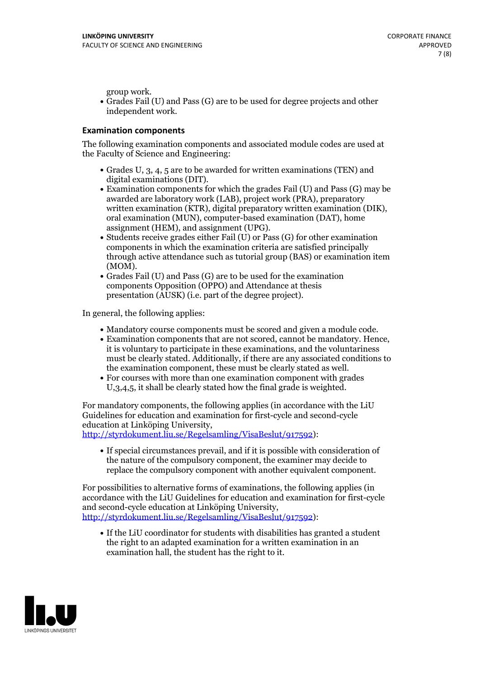group work.<br>• Grades Fail (U) and Pass (G) are to be used for degree projects and other independent work.

#### **Examination components**

The following examination components and associated module codes are used at the Faculty of Science and Engineering:

- Grades U, 3, 4, 5 are to be awarded for written examinations (TEN) and
- digital examinations (DIT).<br>• Examination components for which the grades Fail (U) and Pass (G) may be awarded are laboratory work (LAB), project work (PRA), preparatory written examination (KTR), digital preparatory written examination (DIK), oral examination (MUN), computer-based examination (DAT), home
- assignment (HEM), and assignment (UPG).<br>• Students receive grades either Fail (U) or Pass (G) for other examination components in which the examination criteria are satisfied principally through active attendance such as tutorial group (BAS) or examination item
- (MOM).<br>• Grades Fail (U) and Pass (G) are to be used for the examination components Opposition (OPPO) and Attendance at thesis presentation (AUSK) (i.e. part of the degree project).

In general, the following applies:

- 
- Mandatory course components must be scored and given <sup>a</sup> module code. Examination components that are not scored, cannot be mandatory. Hence, it is voluntary to participate in these examinations, and the voluntariness must be clearly stated. Additionally, if there are any associated conditions to
- the examination component, these must be clearly stated as well.<br>• For courses with more than one examination component with grades U,3,4,5, it shall be clearly stated how the final grade is weighted.

For mandatory components, the following applies (in accordance with the LiU Guidelines for education and examination for first-cycle and second-cycle education at Linköping University,<br>[http://styrdokument.liu.se/Regelsamling/VisaBeslut/917592\)](http://styrdokument.liu.se/Regelsamling/VisaBeslut/917592):

If special circumstances prevail, and if it is possible with consideration of the nature of the compulsory component, the examiner may decide to replace the compulsory component with another equivalent component.

For possibilities to alternative forms of examinations, the following applies (in accordance with the LiU Guidelines for education and examination for first-cycle [http://styrdokument.liu.se/Regelsamling/VisaBeslut/917592\)](http://styrdokument.liu.se/Regelsamling/VisaBeslut/917592):

If the LiU coordinator for students with disabilities has granted a student the right to an adapted examination for a written examination in an examination hall, the student has the right to it.